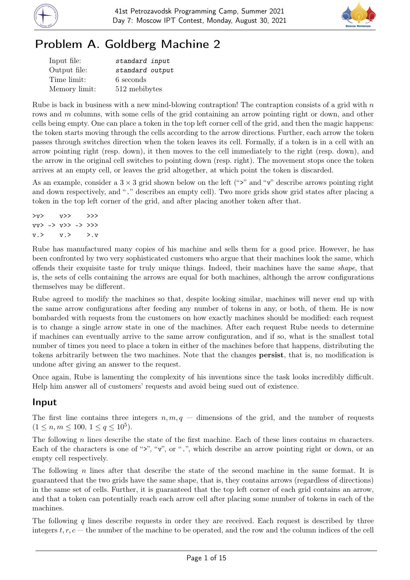



# Problem A. Goldberg Machine 2

| Input file:   | standard input  |
|---------------|-----------------|
| Output file:  | standard output |
| Time limit:   | 6 seconds       |
| Memory limit: | 512 mebibytes   |

Rube is back in business with a new mind-blowing contraption! The contraption consists of a grid with  $n$ rows and m columns, with some cells of the grid containing an arrow pointing right or down, and other cells being empty. One can place a token in the top left corner cell of the grid, and then the magic happens: the token starts moving through the cells according to the arrow directions. Further, each arrow the token passes through switches direction when the token leaves its cell. Formally, if a token is in a cell with an arrow pointing right (resp. down), it then moves to the cell immediately to the right (resp. down), and the arrow in the original cell switches to pointing down (resp. right). The movement stops once the token arrives at an empty cell, or leaves the grid altogether, at which point the token is discarded.

As an example, consider a  $3 \times 3$  grid shown below on the left (">" and "v" describe arrows pointing right and down respectively, and "." describes an empty cell). Two more grids show grid states after placing a token in the top left corner of the grid, and after placing another token after that.

```
>v> v> >>vv> -> v>> -> >>>
v.> v.> >.v
```
Rube has manufactured many copies of his machine and sells them for a good price. However, he has been confronted by two very sophisticated customers who argue that their machines look the same, which offends their exquisite taste for truly unique things. Indeed, their machines have the same shape, that is, the sets of cells containing the arrows are equal for both machines, although the arrow configurations themselves may be different.

Rube agreed to modify the machines so that, despite looking similar, machines will never end up with the same arrow configurations after feeding any number of tokens in any, or both, of them. He is now bombarded with requests from the customers on how exactly machines should be modified: each request is to change a single arrow state in one of the machines. After each request Rube needs to determine if machines can eventually arrive to the same arrow configuration, and if so, what is the smallest total number of times you need to place a token in either of the machines before that happens, distributing the tokens arbitrarily between the two machines. Note that the changes persist, that is, no modification is undone after giving an answer to the request.

Once again, Rube is lamenting the complexity of his inventions since the task looks incredibly difficult. Help him answer all of customers' requests and avoid being sued out of existence.

### Input

The first line contains three integers  $n, m, q$  – dimensions of the grid, and the number of requests  $(1 \leq n, m \leq 100, 1 \leq q \leq 10^5).$ 

The following n lines describe the state of the first machine. Each of these lines contains  $m$  characters. Each of the characters is one of " $\geq$ ", " $\nu$ ", or ".", which describe an arrow pointing right or down, or an empty cell respectively.

The following n lines after that describe the state of the second machine in the same format. It is guaranteed that the two grids have the same shape, that is, they contains arrows (regardless of directions) in the same set of cells. Further, it is guaranteed that the top left corner of each grid contains an arrow, and that a token can potentially reach each arrow cell after placing some number of tokens in each of the machines.

The following q lines describe requests in order they are received. Each request is described by three integers  $t, r, c$  — the number of the machine to be operated, and the row and the column indices of the cell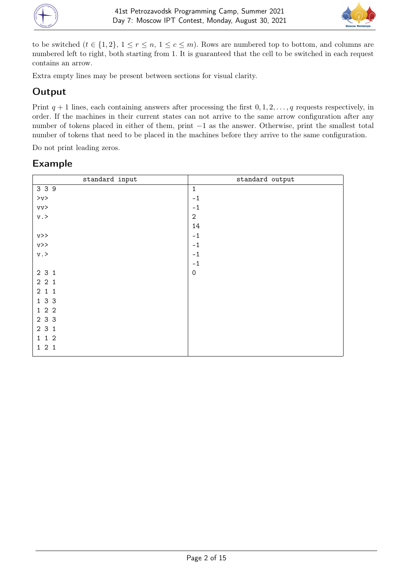



to be switched  $(t \in \{1,2\}, 1 \le r \le n, 1 \le c \le m)$ . Rows are numbered top to bottom, and columns are numbered left to right, both starting from 1. It is guaranteed that the cell to be switched in each request contains an arrow.

Extra empty lines may be present between sections for visual clarity.

## Output

Print  $q + 1$  lines, each containing answers after processing the first  $0, 1, 2, \ldots, q$  requests respectively, in order. If the machines in their current states can not arrive to the same arrow configuration after any number of tokens placed in either of them, print −1 as the answer. Otherwise, print the smallest total number of tokens that need to be placed in the machines before they arrive to the same configuration.

Do not print leading zeros.

| standard input  | standard output     |
|-----------------|---------------------|
| 3 3 9           | $\mathbf{1}$        |
| $>_{\rm V}$     | $-1$                |
| vv>             | $-1$                |
| $\rm v$ . $>$   | $\mathbf{2}$        |
|                 | 14                  |
| V>>             | $-1$                |
| $v \rightarrow$ | $-1$                |
| $\rm v$ . $>$   | $-1$                |
|                 | $-1$                |
| 2 3 1           | $\mathsf{O}\xspace$ |
| 221             |                     |
| 211             |                     |
| 1 3 3           |                     |
| 122             |                     |
| 2 3 3           |                     |
| 231             |                     |
| 1 1 2           |                     |
| 121             |                     |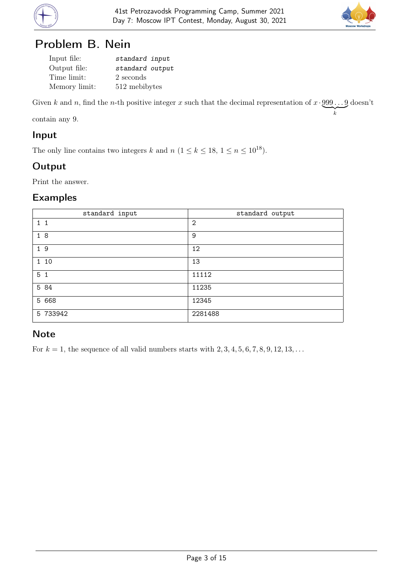



# Problem B. Nein

| Input file:   | standard input  |
|---------------|-----------------|
| Output file:  | standard output |
| Time limit:   | 2 seconds       |
| Memory limit: | 512 mebibytes   |

Given k and n, find the n-th positive integer x such that the decimal representation of  $x \cdot 999 \dots 9$  $\overline{\phantom{a}}_k$ doesn't

contain any 9.

#### Input

The only line contains two integers k and  $n (1 \le k \le 18, 1 \le n \le 10^{18})$ .

# **Output**

Print the answer.

### Examples

| standard input | standard output |
|----------------|-----------------|
| $1\quad1$      | $\overline{2}$  |
| 18             | 9               |
| 19             | 12              |
| 1 10           | 13              |
| 5 <sub>1</sub> | 11112           |
| 5 84           | 11235           |
| 5 668          | 12345           |
| 5 733942       | 2281488         |

### **Note**

For  $k = 1$ , the sequence of all valid numbers starts with  $2, 3, 4, 5, 6, 7, 8, 9, 12, 13, \ldots$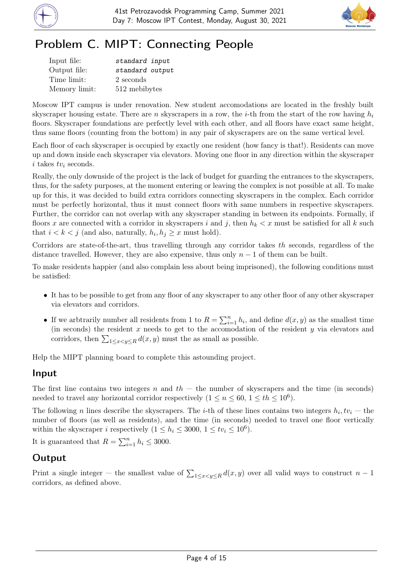



# Problem C. MIPT: Connecting People

| Input file:   | standard input  |
|---------------|-----------------|
| Output file:  | standard output |
| Time limit:   | 2 seconds       |
| Memory limit: | 512 mebibytes   |

Moscow IPT campus is under renovation. New student accomodations are located in the freshly built skyscraper housing estate. There are n skyscrapers in a row, the *i*-th from the start of the row having  $h_i$ floors. Skyscraper foundations are perfectly level with each other, and all floors have exact same height, thus same floors (counting from the bottom) in any pair of skyscrapers are on the same vertical level.

Each floor of each skyscraper is occupied by exactly one resident (how fancy is that!). Residents can move up and down inside each skyscraper via elevators. Moving one floor in any direction within the skyscraper i takes  $tv_i$  seconds.

Really, the only downside of the project is the lack of budget for guarding the entrances to the skyscrapers, thus, for the safety purposes, at the moment entering or leaving the complex is not possible at all. To make up for this, it was decided to build extra corridors connecting skyscrapers in the complex. Each corridor must be perfectly horizontal, thus it must connect floors with same numbers in respective skyscrapers. Further, the corridor can not overlap with any skyscraper standing in between its endpoints. Formally, if floors x are connected with a corridor in skyscrapers i and j, then  $h_k < x$  must be satisfied for all k such that  $i < k < j$  (and also, naturally,  $h_i, h_j \geq x$  must hold).

Corridors are state-of-the-art, thus travelling through any corridor takes th seconds, regardless of the distance travelled. However, they are also expensive, thus only  $n-1$  of them can be built.

To make residents happier (and also complain less about being imprisoned), the following conditions must be satisfied:

- It has to be possible to get from any floor of any skyscraper to any other floor of any other skyscraper via elevators and corridors.
- If we arbtrarily number all residents from 1 to  $R = \sum_{i=1}^{n} h_i$ , and define  $d(x, y)$  as the smallest time (in seconds) the resident  $x$  needs to get to the accomodation of the resident  $y$  via elevators and corridors, then  $\sum_{1 \leq x \leq y \leq R} d(x, y)$  must the as small as possible.

Help the MIPT planning board to complete this astounding project.

#### Input

The first line contains two integers n and  $th$  — the number of skyscrapers and the time (in seconds) needed to travel any horizontal corridor respectively  $(1 \le n \le 60, 1 \le th \le 10^6)$ .

The following n lines describe the skyscrapers. The *i*-th of these lines contains two integers  $h_i, tv_i$  — the number of floors (as well as residents), and the time (in seconds) needed to travel one floor vertically within the skyscraper *i* respectively  $(1 \le h_i \le 3000, 1 \le tv_i \le 10^6)$ .

It is guaranteed that  $R = \sum_{i=1}^{n} h_i \leq 3000$ .

### Output

Print a single integer – the smallest value of  $\sum_{1 \le x < y \le R} d(x, y)$  over all valid ways to construct  $n-1$ corridors, as defined above.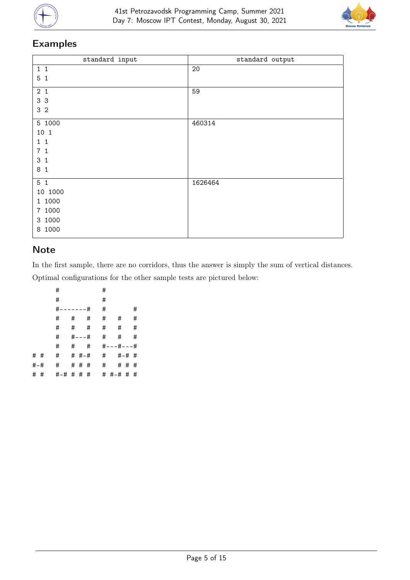



# Examples

| standard input    | standard output |
|-------------------|-----------------|
| $1\quad1$         | 20              |
| 5 <sub>1</sub>    |                 |
| 2 <sub>1</sub>    | 59              |
| 3 3               |                 |
| 3 <sub>2</sub>    |                 |
| 5 1000            | 460314          |
| 10 1              |                 |
| $1\quad1$         |                 |
| 7 <sub>1</sub>    |                 |
| 3<br>$\mathbf{1}$ |                 |
| 8 <sub>1</sub>    |                 |
| 5 <sub>1</sub>    | 1626464         |
| 10 1000           |                 |
| 1 1000            |                 |
| 7 1000            |                 |
| 3 1000            |                 |
| 1000<br>8         |                 |

### Note

In the first sample, there are no corridors, thus the answer is simply the sum of vertical distances. Optimal configurations for the other sample tests are pictured below:

|     | #             |   |            |   | #         |                         |   |
|-----|---------------|---|------------|---|-----------|-------------------------|---|
|     | #             |   |            |   | #         |                         |   |
|     | #<br>-------# |   |            |   | #         |                         | # |
|     | #             | # |            | # | #         | #                       | # |
|     | #             |   | #          | # | #         | #                       | # |
|     | #             |   | $# - - -#$ |   | #         | #                       | # |
|     | #             |   |            |   | $\#$ $\#$ | $# - - + + - - +$       |   |
| # # | #             |   | # #-#      |   |           | $\#$<br>$# - # +$       |   |
| #-# | #             |   |            |   | # # #     | #<br># # #              |   |
|     |               |   |            |   |           | # # #-# # # # # #-# # # |   |
|     |               |   |            |   |           |                         |   |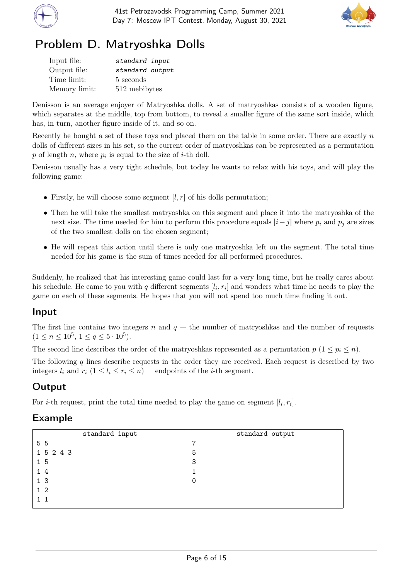



# Problem D. Matryoshka Dolls

| Input file:   | standard input  |
|---------------|-----------------|
| Output file:  | standard output |
| Time limit:   | 5 seconds       |
| Memory limit: | 512 mebibytes   |

Denisson is an average enjoyer of Matryoshka dolls. A set of matryoshkas consists of a wooden figure, which separates at the middle, top from bottom, to reveal a smaller figure of the same sort inside, which has, in turn, another figure inside of it, and so on.

Recently he bought a set of these toys and placed them on the table in some order. There are exactly  $n$ dolls of different sizes in his set, so the current order of matryoshkas can be represented as a permutation p of length n, where  $p_i$  is equal to the size of *i*-th doll.

Denisson usually has a very tight schedule, but today he wants to relax with his toys, and will play the following game:

- Firstly, he will choose some segment  $[l, r]$  of his dolls permutation;
- Then he will take the smallest matryoshka on this segment and place it into the matryoshka of the next size. The time needed for him to perform this procedure equals  $|i-j|$  where  $p_i$  and  $p_j$  are sizes of the two smallest dolls on the chosen segment;
- He will repeat this action until there is only one matryoshka left on the segment. The total time needed for his game is the sum of times needed for all performed procedures.

Suddenly, he realized that his interesting game could last for a very long time, but he really cares about his schedule. He came to you with  $q$  different segments  $[l_i, r_i]$  and wonders what time he needs to play the game on each of these segments. He hopes that you will not spend too much time finding it out.

### Input

The first line contains two integers n and  $q$  — the number of matryoshkas and the number of requests  $(1 \le n \le 10^5, 1 \le q \le 5 \cdot 10^5).$ 

The second line describes the order of the matryoshkas represented as a permutation  $p$  ( $1 \leq p_i \leq n$ ).

The following  $q$  lines describe requests in the order they are received. Each request is described by two integers  $l_i$  and  $r_i$   $(1 \leq l_i \leq r_i \leq n)$  — endpoints of the *i*-th segment.

# **Output**

For *i*-th request, print the total time needed to play the game on segment  $[l_i, r_i]$ .

| standard input | standard output |
|----------------|-----------------|
| 5 5            | ⇁               |
| 1 5 2 4 3      | 5               |
| 1 5            | 3               |
| 14             |                 |
| 1 <sup>3</sup> |                 |
| $1\,2$         |                 |
|                |                 |
|                |                 |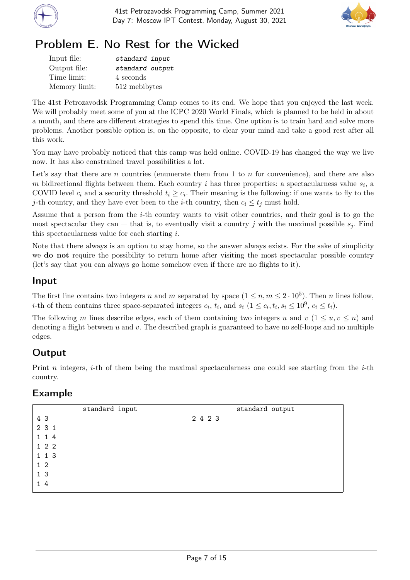



# Problem E. No Rest for the Wicked

| Input file:   | standard input  |
|---------------|-----------------|
| Output file:  | standard output |
| Time limit:   | 4 seconds       |
| Memory limit: | 512 mebibytes   |

The 41st Petrozavodsk Programming Camp comes to its end. We hope that you enjoyed the last week. We will probably meet some of you at the ICPC 2020 World Finals, which is planned to be held in about a month, and there are different strategies to spend this time. One option is to train hard and solve more problems. Another possible option is, on the opposite, to clear your mind and take a good rest after all this work.

You may have probably noticed that this camp was held online. COVID-19 has changed the way we live now. It has also constrained travel possibilities a lot.

Let's say that there are  $n$  countries (enumerate them from 1 to  $n$  for convenience), and there are also m bidirectional flights between them. Each country i has three properties: a spectacularness value  $s_i$ , a COVID level  $c_i$  and a security threshold  $t_i \geq c_i$ . Their meaning is the following: if one wants to fly to the j-th country, and they have ever been to the *i*-th country, then  $c_i \leq t_j$  must hold.

Assume that a person from the i-th country wants to visit other countries, and their goal is to go the most spectacular they can — that is, to eventually visit a country j with the maximal possible  $s_i$ . Find this spectacularness value for each starting i.

Note that there always is an option to stay home, so the answer always exists. For the sake of simplicity we **do not** require the possibility to return home after visiting the most spectacular possible country (let's say that you can always go home somehow even if there are no flights to it).

### Input

The first line contains two integers n and m separated by space  $(1 \le n, m \le 2 \cdot 10^5)$ . Then n lines follow, *i*-th of them contains three space-separated integers  $c_i$ ,  $t_i$ , and  $s_i$   $(1 \leq c_i, t_i, s_i \leq 10^9, c_i \leq t_i)$ .

The following m lines describe edges, each of them containing two integers u and  $v (1 \le u, v \le n)$  and denoting a flight between  $u$  and  $v$ . The described graph is guaranteed to have no self-loops and no multiple edges.

## Output

Print n integers, *i*-th of them being the maximal spectacularness one could see starting from the *i*-th country.

| standard input | standard output |
|----------------|-----------------|
| 4 3            | 2 4 2 3         |
| 2 3 1          |                 |
| 1 1 4          |                 |
| 122            |                 |
| 1 1 3          |                 |
| 1 <sub>2</sub> |                 |
| 1 <sub>3</sub> |                 |
| - 4            |                 |
|                |                 |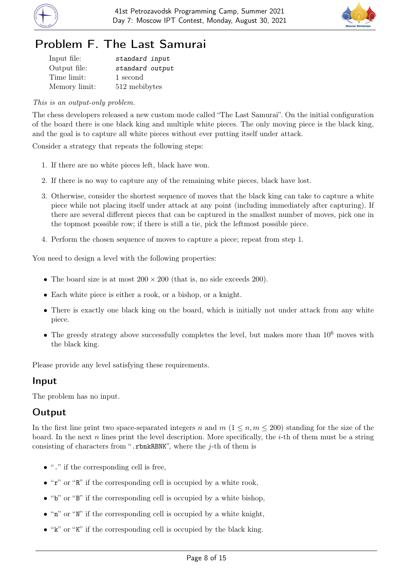



# Problem F. The Last Samurai

| Input file:   | standard input  |
|---------------|-----------------|
| Output file:  | standard output |
| Time limit:   | 1 second        |
| Memory limit: | 512 mebibytes   |

#### This is an output-only problem.

The chess developers released a new custom mode called "The Last Samurai". On the initial configuration of the board there is one black king and multiple white pieces. The only moving piece is the black king, and the goal is to capture all white pieces without ever putting itself under attack.

Consider a strategy that repeats the following steps:

- 1. If there are no white pieces left, black have won.
- 2. If there is no way to capture any of the remaining white pieces, black have lost.
- 3. Otherwise, consider the shortest sequence of moves that the black king can take to capture a white piece while not placing itself under attack at any point (including immediately after capturing). If there are several different pieces that can be captured in the smallest number of moves, pick one in the topmost possible row; if there is still a tie, pick the leftmost possible piece.
- 4. Perform the chosen sequence of moves to capture a piece; repeat from step 1.

You need to design a level with the following properties:

- The board size is at most  $200 \times 200$  (that is, no side exceeds 200).
- Each white piece is either a rook, or a bishop, or a knight.
- There is exactly one black king on the board, which is initially not under attack from any white piece.
- The greedy strategy above successfully completes the level, but makes more than  $10^6$  moves with the black king.

Please provide any level satisfying these requirements.

#### Input

The problem has no input.

#### Output

In the first line print two space-separated integers n and  $m$  ( $1 \leq n, m \leq 200$ ) standing for the size of the board. In the next n lines print the level description. More specifically, the  $i$ -th of them must be a string consisting of characters from ".rbnkRBNK", where the  $j$ -th of them is

- $\bullet$  "." if the corresponding cell is free.
- $\bullet$  " $\mathbf{r}$ " or "R" if the corresponding cell is occupied by a white rook,
- $\bullet$  "b" or "B" if the corresponding cell is occupied by a white bishop,
- $\bullet$  "n" or "N" if the corresponding cell is occupied by a white knight,
- "k" or "K" if the corresponding cell is occupied by the black king.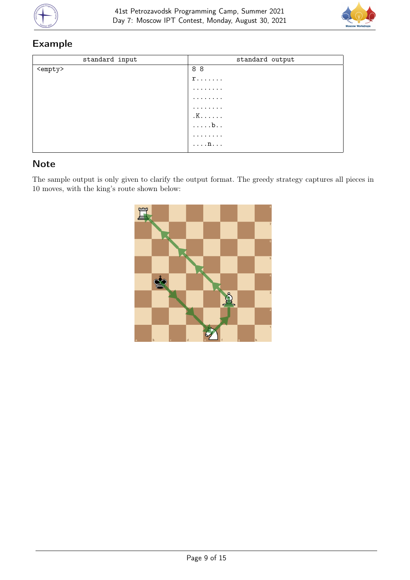



# Example

| standard input  | standard output   |
|-----------------|-------------------|
| <empty></empty> | 88                |
|                 | $r \ldots \ldots$ |
|                 | .                 |
|                 | .                 |
|                 | .                 |
|                 | $K. \ldots$ .     |
|                 | $\ldots$          |
|                 | .                 |
|                 | $\ldots$ n.       |

# Note

The sample output is only given to clarify the output format. The greedy strategy captures all pieces in 10 moves, with the king's route shown below:

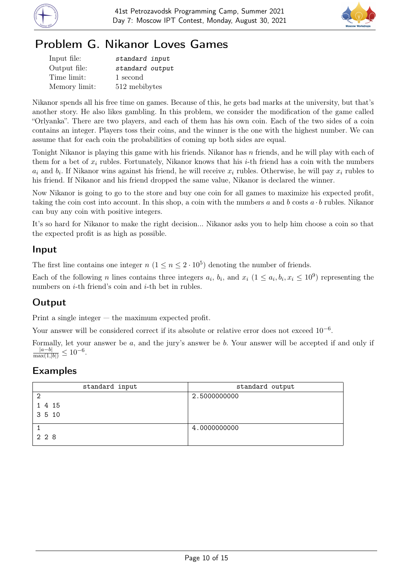



# Problem G. Nikanor Loves Games

| Input file:   | standard input  |
|---------------|-----------------|
| Output file:  | standard output |
| Time limit:   | 1 second        |
| Memory limit: | 512 mebibytes   |

Nikanor spends all his free time on games. Because of this, he gets bad marks at the university, but that's another story. He also likes gambling. In this problem, we consider the modification of the game called "Orlyanka". There are two players, and each of them has his own coin. Each of the two sides of a coin contains an integer. Players toss their coins, and the winner is the one with the highest number. We can assume that for each coin the probabilities of coming up both sides are equal.

Tonight Nikanor is playing this game with his friends. Nikanor has n friends, and he will play with each of them for a bet of  $x_i$  rubles. Fortunately, Nikanor knows that his *i*-th friend has a coin with the numbers  $a_i$  and  $b_i$ . If Nikanor wins against his friend, he will receive  $x_i$  rubles. Otherwise, he will pay  $x_i$  rubles to his friend. If Nikanor and his friend dropped the same value, Nikanor is declared the winner.

Now Nikanor is going to go to the store and buy one coin for all games to maximize his expected profit, taking the coin cost into account. In this shop, a coin with the numbers a and b costs  $a \cdot b$  rubles. Nikanor can buy any coin with positive integers.

It's so hard for Nikanor to make the right decision... Nikanor asks you to help him choose a coin so that the expected profit is as high as possible.

### Input

The first line contains one integer  $n (1 \le n \le 2 \cdot 10^5)$  denoting the number of friends.

Each of the following *n* lines contains three integers  $a_i$ ,  $b_i$ , and  $x_i$  ( $1 \le a_i, b_i, x_i \le 10^9$ ) representing the numbers on  $i$ -th friend's coin and  $i$ -th bet in rubles.

## Output

Print a single integer — the maximum expected profit.

Your answer will be considered correct if its absolute or relative error does not exceed  $10^{-6}$ .

Formally, let your answer be a, and the jury's answer be b. Your answer will be accepted if and only if  $\frac{|a-b|}{\max(1,|b|)} \leq 10^{-6}.$ 

| standard input | standard output |
|----------------|-----------------|
| ◠              | 2.5000000000    |
| 1 4 15         |                 |
| 3 5 10         |                 |
|                | 4.0000000000    |
| 228            |                 |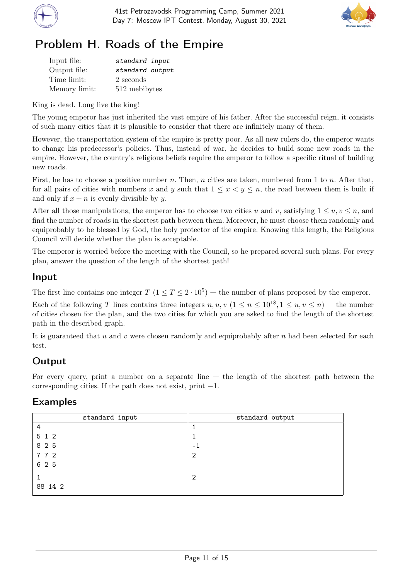



# Problem H. Roads of the Empire

| Input file:   | standard input  |
|---------------|-----------------|
| Output file:  | standard output |
| Time limit:   | 2 seconds       |
| Memory limit: | 512 mebibytes   |

King is dead. Long live the king!

The young emperor has just inherited the vast empire of his father. After the successful reign, it consists of such many cities that it is plausible to consider that there are infinitely many of them.

However, the transportation system of the empire is pretty poor. As all new rulers do, the emperor wants to change his predecessor's policies. Thus, instead of war, he decides to build some new roads in the empire. However, the country's religious beliefs require the emperor to follow a specific ritual of building new roads.

First, he has to choose a positive number n. Then, n cities are taken, numbered from 1 to n. After that, for all pairs of cities with numbers x and y such that  $1 \leq x \leq y \leq n$ , the road between them is built if and only if  $x + n$  is evenly divisible by y.

After all those manipulations, the emperor has to choose two cities u and v, satisfying  $1 \leq u, v \leq n$ , and find the number of roads in the shortest path between them. Moreover, he must choose them randomly and equiprobably to be blessed by God, the holy protector of the empire. Knowing this length, the Religious Council will decide whether the plan is acceptable.

The emperor is worried before the meeting with the Council, so he prepared several such plans. For every plan, answer the question of the length of the shortest path!

### Input

The first line contains one integer  $T (1 \le T \le 2 \cdot 10^5)$  — the number of plans proposed by the emperor.

Each of the following T lines contains three integers  $n, u, v$   $(1 \le n \le 10^{18}, 1 \le u, v \le n)$  – the number of cities chosen for the plan, and the two cities for which you are asked to find the length of the shortest path in the described graph.

It is guaranteed that u and v were chosen randomly and equiprobably after n had been selected for each test.

# **Output**

For every query, print a number on a separate line  $-$  the length of the shortest path between the corresponding cities. If the path does not exist, print  $-1$ .

| standard input | standard output |
|----------------|-----------------|
| 4              |                 |
| 5 1 2          |                 |
| 8 2 5          | $-1$            |
| 772            | 2               |
| 6 2 5          |                 |
|                | 2               |
| 88 14 2        |                 |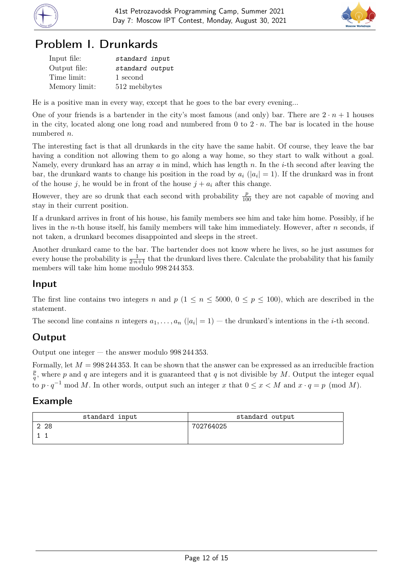



# Problem I. Drunkards

| Input file:   | standard input  |
|---------------|-----------------|
| Output file:  | standard output |
| Time limit:   | 1 second        |
| Memory limit: | 512 mebibytes   |

He is a positive man in every way, except that he goes to the bar every evening...

One of your friends is a bartender in the city's most famous (and only) bar. There are  $2 \cdot n + 1$  houses in the city, located along one long road and numbered from 0 to  $2 \cdot n$ . The bar is located in the house numbered n.

The interesting fact is that all drunkards in the city have the same habit. Of course, they leave the bar having a condition not allowing them to go along a way home, so they start to walk without a goal. Namely, every drunkard has an array  $a$  in mind, which has length  $n$ . In the *i*-th second after leaving the bar, the drunkard wants to change his position in the road by  $a_i$  ( $|a_i|=1$ ). If the drunkard was in front of the house j, he would be in front of the house  $j + a_i$  after this change.

However, they are so drunk that each second with probability  $\frac{p}{100}$  they are not capable of moving and stay in their current position.

If a drunkard arrives in front of his house, his family members see him and take him home. Possibly, if he lives in the n-th house itself, his family members will take him immediately. However, after n seconds, if not taken, a drunkard becomes disappointed and sleeps in the street.

Another drunkard came to the bar. The bartender does not know where he lives, so he just assumes for every house the probability is  $\frac{1}{2\cdot n+1}$  that the drunkard lives there. Calculate the probability that his family members will take him home modulo 998 244 353.

### Input

The first line contains two integers n and  $p$  (1  $\leq n \leq 5000$ , 0  $\leq p \leq 100$ ), which are described in the statement.

The second line contains n integers  $a_1, \ldots, a_n$   $(|a_i| = 1)$  — the drunkard's intentions in the *i*-th second.

### Output

Output one integer — the answer modulo 998 244 353.

Formally, let  $M = 998\,244\,353$ . It can be shown that the answer can be expressed as an irreducible fraction p  $\frac{p}{q}$ , where p and q are integers and it is guaranteed that q is not divisible by M. Output the integer equal to  $p \cdot q^{-1}$  mod M. In other words, output such an integer x that  $0 \leq x \leq M$  and  $x \cdot q = p \pmod{M}$ .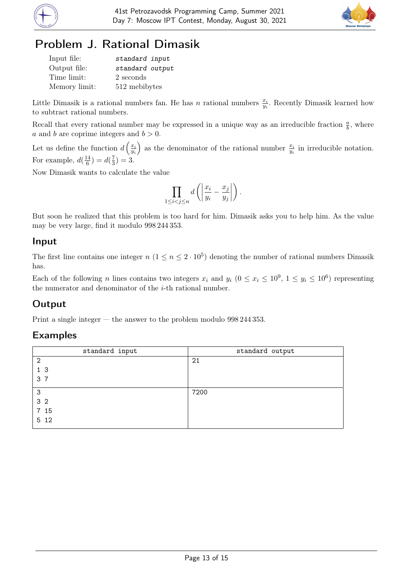



# Problem J. Rational Dimasik

| Input file:   | standard input  |
|---------------|-----------------|
| Output file:  | standard output |
| Time limit:   | 2 seconds       |
| Memory limit: | 512 mebibytes   |

Little Dimasik is a rational numbers fan. He has n rational numbers  $\frac{x_i}{y_i}$ . Recently Dimasik learned how to subtract rational numbers.

Recall that every rational number may be expressed in a unique way as an irreducible fraction  $\frac{a}{b}$ , where a and b are coprime integers and  $b > 0$ .

Let us define the function  $d\left(\frac{x_i}{w}\right)$ yi ) as the denominator of the rational number  $\frac{x_i}{y_i}$  in irreducible notation. For example,  $d(\frac{14}{6})$  $\frac{14}{6}$ ) =  $d(\frac{7}{3})$  $(\frac{7}{3}) = 3.$ 

Now Dimasik wants to calculate the value

$$
\prod_{1 \leq i < j \leq n} d\left(\left|\frac{x_i}{y_i} - \frac{x_j}{y_j}\right|\right).
$$

But soon he realized that this problem is too hard for him. Dimasik asks you to help him. As the value may be very large, find it modulo 998 244 353.

#### Input

The first line contains one integer  $n (1 \le n \le 2 \cdot 10^5)$  denoting the number of rational numbers Dimasik has.

Each of the following *n* lines contains two integers  $x_i$  and  $y_i$   $(0 \le x_i \le 10^9, 1 \le y_i \le 10^6)$  representing the numerator and denominator of the i-th rational number.

## Output

Print a single integer — the answer to the problem modulo 998 244 353.

| standard input | standard output |
|----------------|-----------------|
| $\overline{2}$ | 21              |
| 1 <sub>3</sub> |                 |
| 3 7            |                 |
| 3              | 7200            |
| 3 <sub>2</sub> |                 |
| 7 15           |                 |
| 5 1 2          |                 |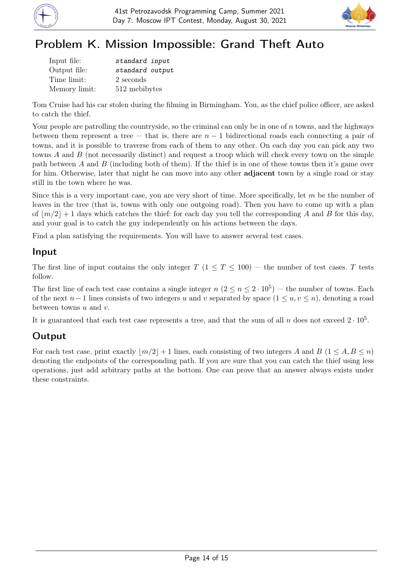



# Problem K. Mission Impossible: Grand Theft Auto

| Input file:   | standard input  |
|---------------|-----------------|
| Output file:  | standard output |
| Time limit:   | 2 seconds       |
| Memory limit: | 512 mebibytes   |

Tom Cruise had his car stolen during the filming in Birmingham. You, as the chief police officer, are asked to catch the thief.

Your people are patrolling the countryside, so the criminal can only be in one of  $n$  towns, and the highways between them represent a tree — that is, there are  $n-1$  bidirectional roads each connecting a pair of towns, and it is possible to traverse from each of them to any other. On each day you can pick any two towns A and B (not necessarily distinct) and request a troop which will check every town on the simple path between A and B (including both of them). If the thief is in one of these towns then it's game over for him. Otherwise, later that night he can move into any other adjacent town by a single road or stay still in the town where he was.

Since this is a very important case, you are very short of time. More specifically, let  $m$  be the number of leaves in the tree (that is, towns with only one outgoing road). Then you have to come up with a plan of  $|m/2|+1$  days which catches the thief: for each day you tell the corresponding A and B for this day, and your goal is to catch the guy independently on his actions between the days.

Find a plan satisfying the requirements. You will have to answer several test cases.

### Input

The first line of input contains the only integer  $T$  (1  $\leq T \leq 100$ ) – the number of test cases. T tests follow.

The first line of each test case contains a single integer  $n (2 \le n \le 2 \cdot 10^5)$  – the number of towns. Each of the next  $n-1$  lines consists of two integers u and v separated by space  $(1 \le u, v \le n)$ , denoting a road between towns  $u$  and  $v$ .

It is guaranteed that each test case represents a tree, and that the sum of all n does not exceed  $2 \cdot 10^5$ .

## **Output**

For each test case, print exactly  $|m/2|+1$  lines, each consisting of two integers A and B  $(1 \leq A, B \leq n)$ denoting the endpoints of the corresponding path. If you are sure that you can catch the thief using less operations, just add arbitrary paths at the bottom. One can prove that an answer always exists under these constraints.